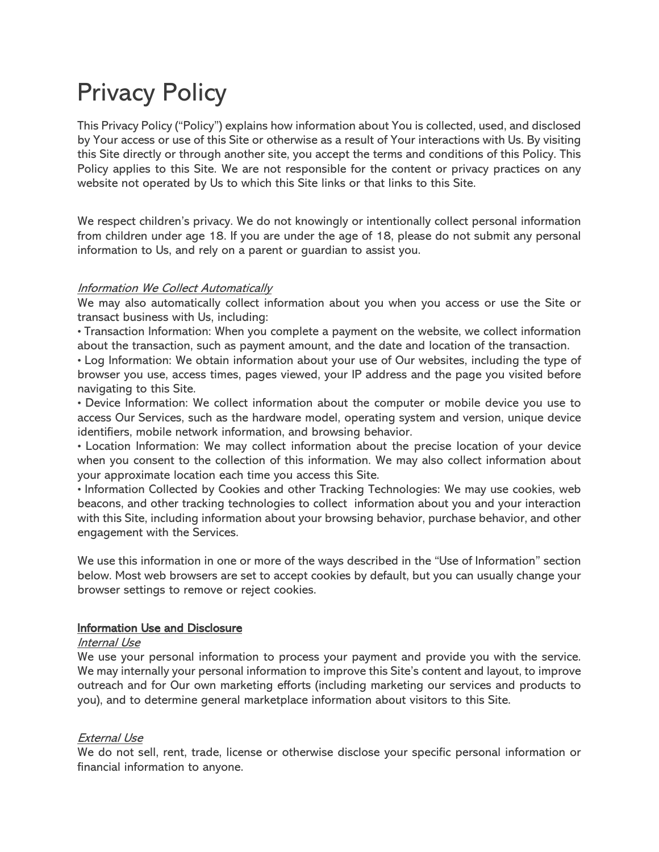# Privacy Policy

This Privacy Policy ("Policy") explains how information about You is collected, used, and disclosed by Your access or use of this Site or otherwise as a result of Your interactions with Us. By visiting this Site directly or through another site, you accept the terms and conditions of this Policy. This Policy applies to this Site. We are not responsible for the content or privacy practices on any website not operated by Us to which this Site links or that links to this Site.

We respect children's privacy. We do not knowingly or intentionally collect personal information from children under age 18. If you are under the age of 18, please do not submit any personal information to Us, and rely on a parent or guardian to assist you.

## **Information We Collect Automatically**

We may also automatically collect information about you when you access or use the Site or transact business with Us, including:

• Transaction Information: When you complete a payment on the website, we collect information about the transaction, such as payment amount, and the date and location of the transaction.

• Log Information: We obtain information about your use of Our websites, including the type of browser you use, access times, pages viewed, your IP address and the page you visited before navigating to this Site.

• Device Information: We collect information about the computer or mobile device you use to access Our Services, such as the hardware model, operating system and version, unique device identifiers, mobile network information, and browsing behavior.

• Location Information: We may collect information about the precise location of your device when you consent to the collection of this information. We may also collect information about your approximate location each time you access this Site.

• Information Collected by Cookies and other Tracking Technologies: We may use cookies, web beacons, and other tracking technologies to collect information about you and your interaction with this Site, including information about your browsing behavior, purchase behavior, and other engagement with the Services.

We use this information in one or more of the ways described in the "Use of Information" section below. Most web browsers are set to accept cookies by default, but you can usually change your browser settings to remove or reject cookies.

## Information Use and Disclosure

#### Internal Use

We use your personal information to process your payment and provide you with the service. We may internally your personal information to improve this Site's content and layout, to improve outreach and for Our own marketing efforts (including marketing our services and products to you), and to determine general marketplace information about visitors to this Site.

## External Use

We do not sell, rent, trade, license or otherwise disclose your specific personal information or financial information to anyone.